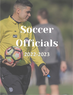# Soccer ofheials 2022-2023

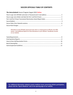### **SOCCER OFFICIALS TABLE OF CONTENTS**

#### *The Interscholastic* Soccer Program August 2022 **Online**

**Attendance at the WVSSAC sponsored rules clinic is a requirement to officiate the 2022 season. (seeAdditional Option for ClinicAttendance in your Officials' Handbook) located on our website.**

**For additional information related to sports medicine issues concerning athletic participation, please click the "Sports Medicine" tab on the opening page of our website.**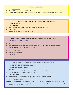#### **My Officials' Packet! Where is it?**

- 1. Go to [www.wvssac.org](http://www.wvssac.org/)
- 2. On the SSAChomepage. Locate and click on Officials
- 3. Once the Officials page openslook for Officials Packets and click on the sport. Example: Football Officials Packet

#### **How Do I Login To The WVSSAC Officials' Management Page?**

- 1. Go to [www.wvssac.org](http://www.wvssac.org/)
- 2. Click on AdminLogin
- 3. Type in your Registration Number and password. Remember both are case sensitive.
- 4. Click on Login
- 5. Thiswill take you to the official's management page.

#### **How to Login to the WV Central Hub/Arbiter Site for Part 1 and Part 2 Tests:**

- 1. Go to [www.wvssac.arbitersports.com](http://www.wvssac.arbitersports.com/)
- 2. Enter your email address and password
- 3. Click Signin
- 4. Your accounts on Arbiter should show up, if not, click on Switch Viewsin the upper right-hand corner.
- 5. Click on the WV-Central Hub Account Type Central Hub
- 6. Click on the Testing Tab
- 7. Look under Open Test
- 8. Find the appropriate test
- 9. Click on TakeTest

#### **How to Login to Register Online on the WV Central Hub/Arbiter Site:**

- 1. Go to [www.wvssac.arbitersports.com](http://www.wvssac.arbitersports.com/)
- 2. Click Login (Located in the upper right-hand corner)
- 3. Enter your email address and password
- 4. Click Sign-in
- 5. Your accounts on Arbiter should show up/if not, click on Switch Viewsin the upper right-hand corner.
- 6. Click on WV-Central Hub Account Type -Central Hub
- 7. Click on Registration
- 8. You will see the following choice: 22-23 Active. Then click on the "Register" button.
- 9. Update your personal information. Then click "Next"
- 10. Complete the payment information.
- **Note:** The new system keeps t rack of background checks on file. If your previous background check has expired, you will be charged the \$10 fee. Also, late fees (\$25 per sport) will be assessed if you register after the initial deadline. Keep the email from Pro-Pay as your receipt.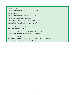#### **Part I Test Window**

Football-Soccer-Volleyball-July 25, 2022 - August 7, 2022

**Part II Test Window**

Football-Soccer-Volleyball-August 8- August 22, 2022

#### **Deadline for Self-Nomination Forms-Online**

Football – Open August 15, 2022-Close September 12, 2022 Soccer – Open August 15, 2022-Close September 12, 2022 Volleyball – Open September 1, 2022-Close October 14, 2022

#### **Deadline For Game Reports-Online**

Due Date is December 1, 2022

**Final Deadline for Game Reports Online With a \$25.00 late fee** Football-Soccer-Volleyball – December 31, 2022 at midnight

#### **Football-Soccer-Volleyball**

**Note:** Failure to take Part I – Loss of 5 points on classification scale Failure to take Part II – Suspension the following season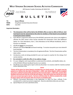**2875 Staunton Turnpike, Parkersburg, WV 26104-7219**

FAXNUMBER: 304-428-5431 WEB SITE: [www.wvssac.org](http://www.wvssac.org/)

TELEPHONE: 304-485-5494 E-MAIL: [wvssac@wvssac.org](mailto:wvssac@wvssac.org)



# **B U L L E T I N**

| TO:          | <b>Soccer Officials</b>                 |
|--------------|-----------------------------------------|
| <b>FROM:</b> | Greg Reed, Assistant Executive Director |
| DATE:        | <b>July 2022</b>                        |

#### **Important Reminders:**

- **1. The Interpreters Clinic will be held at the WVSSAC office on July 31, 2022 at 9:00 am. Each local board must be represented at this clinic for members of that board to be considered to work postseason matches.**
- 2. Each official is required to attend one of the WVSSAC sponsored rules clinics to be eligible to officiate the 2022 season unless he/she attended the Interpreters Clinic (See Additional Option for Clinic Attendance, Item L. Clinic Attendance of the Officials Handbook), which is found on our Website.
- 3. All officials **must**join a local board.
- 4. Officials must attend **four (4)** local board meetings. To receive max points you must attend 8 local meetings.
- 5. The Part II Examination is mandatory for all registered officials. The Part II Examination will be taken online.
- 6. Introductory cards are being provided for your use to give to coaches for the ratings of all varsity matches.
- **7. Be reminded to notify this office of any address change.**
- 8. It is your obligation and responsibility to understand the contents, and deadline dates, etc. of the WVSSAC Officials Handbook found on our website.
- 9. All officials must submit game report online by December 1 to receive credit for matches workedonline submission only.

#### **READ**

**\*Points will be given for Game Reports provided they are timely posted. The report must be posted on or before the due date of December 1, 2022. Late Game Reports will be accepted and points credited if posted within 30 (Thirty) days from December 1, 2022 date. Contact Alice Goodwin and send yourlate fee of \$25.00 and request. Alice will contact you and let you know when you canpost your game reports. Youhave untilDecember 31, 2022 to complete this. Credit for game reports will not be given after the January 1st deadline date.**

- 11. Official's Tournament Nomination is due September 12, 2022, for Class I officials. To be considered for a state tournament assignment. Must be submitted online only-see Index.
- 12. Special Reports are to be submitted online.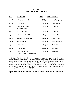#### **2022-2023 SOCCER RULES CLINICS**

| <b>DATE</b> | <b>LOCATION</b>                                 | TIME        | <b>COORDINATOR</b>     |
|-------------|-------------------------------------------------|-------------|------------------------|
| July 27     | <b>Wheeling Park HS</b>                         | 6:00 p.m.   | <b>Chris Daugherty</b> |
| July 28     | Huntington HS                                   | 6:00 p.m.   | <b>Bruce Senior</b>    |
| July 31     | Interpreters' Clinic<br><b>WVSSAC Office</b>    | $9:00$ a.m. | Greg Reed              |
| July 31     | <b>WVSSAC Office</b>                            | $9:00$ a.m. | <b>Greg Reed</b>       |
| Aug. 1      | <b>Woodrow Wilson HS</b>                        | 6:00 p.m.   | <b>Andrew Pinnick</b>  |
| Aug. 2      | George Washington HS                            | 6:00 p.m.   | Jim Crawford           |
| Aug. 4      | <b>East Fairmont HS</b>                         | 6:00 p.m.   | James Beckman          |
| Aug. 5      | <b>Spring Mills HS</b>                          | 6:00 p.m.   | Mark Salfia            |
| Aug. 6      | <b>Frankfort HS</b>                             | $9:00$ a.m. | <b>Jay Hesse</b>       |
| Aug. 10     | *WVSSAC Office<br>*Make-up Clinic - \$10.00 Fee | 6:00 p.m.   | <b>Greg Reed</b>       |

**SCHOOLS:** The **Head Coach** shall be **required** to attend any sports rules clinics which are sponsored by this Commission in his/her coaching assignment. Schools failing to have a head coaching position filled at the time of the clinic will be required to have a school representative present at the rules clinic. An individual can only represent one school unless he/she is head coach at both schools. In a 9-12 school, both the varsity and 9th grade coach are required to attend. Failure to have a representative at one of the above clinics will result in a \$50.00 fine.

*The clinic attendance requirement will not be granted if the coach or representative is late in excess of 10 minutes.*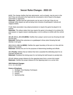# **Soccer Rules Changes - 2022-23**

**4-2-2:** The change clarifies that hair adornments, such as beads, may be worn in the hair if they are secured to the head and do not present a risk of injury to the player, teammates or opponents.

**Rationale:** Clarifies that hair adornments can be worn in the hair if they do not endanger other players as well as being more inclusive of participants' cultural and religious beliefs.

**7-1-3:** State association may adopt procedures to require the game be played in its entirety.

**Rationale:** This allows states that may require the game to be played in its entirety (for post-season or regular season seeding play), to do so without a conflict with the current rule.

**10-1-2f, 10-1-1, 10-1-3h (NEW):** Clarifies that a player cannot score by throwing the ball into the goal.

**Rationale:** Defined the outcomes on a goalkeeper's throw when throwing the ball directly or own goal.

**12-2, 11-1-1. 18-1-1s (NEW):** Clarifies the upper boundary of the arm is in line with the bottom of the armpit.

**Rationale:** Defines the arm for the purposes of determining handling and offside.

**14-1 Penalty:** Defines that an indirect free kick is awarded the defending team for an improper penalty kick.

**Rationale:** Penalizes the kicking team for not kicking the ball forward on penalty kick.

**17-1-2:** Defines proper distance for the opposing team from a corner kick restart. **Rationale:** Clarifies the proper distance for the opposing team on a corner kick.

# **2022 Editorial Changes**

4-1-1, 11-1-4b 2022

#### **Points of Emphasis**

- 1. Strategic Time Wasting Techniques
- 2. Penalty Kick
- 3. Dissent
- 4. Sportsmanship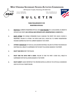

**2875 Staunton Turnpike, Parkersburg, WV 26104-7219**

TELEPHONE: 304-485-5494 E-MAIL: [wvssac@wvssac.org](mailto:wvssac@wvssac.org) FAXNUMBER: 304-428-5431 WEB SITE: [www.wvssac.org](http://www.wvssac.org/)





# **B U L L E T I N**

#### **YEARLY REQUIREMENTS FOR REGISTERED OFFICIALS**

- **1. MUST BE A** CURRENTLY REGISTERED OFFICIAL AND **MUST BELONG**TO A LOCAL BOARD, IN ORDERTO OFFICIATEANYSPORT. **(NO OFFICIAL MAY OFFICIATE UNTIL REGISTRATION IS COMPLETE.)**
- **2. MUST ATTEND** THE WVSSAC SPONSORED RULES CLINICIAN THE SPORT FOR WHICH HE/SHE IS REGISTERED. FAILURE TO ATTEND THE STATE CLINIC WILL CAUSE YOU TO FORFEIT REGISTRATION FEESAND SUSPEND YOU FOR THE CURRENT SEASON IN THAT SPORT.
- **3. ATTEND A MINIMUM** OF FOUR (4) LOCAL BOARD MEETINGS. FAILURE TO ATTENDTHEMINIMUM MEETINGS WILL RESULTIN SUSPENSION FORTHENEXT FOLLOWING SEASON IN THATSPORT.
- **4. MUST TAKE NFHS** PARTI TESTONLINE.
- **5. MUST TAKE THE NFHS PART II EXAM.** FAILURE TO TAKE THE PART II EXAM WILL RESULT IN SUSPENSION FOR THE FOLLOWING SEASON IN THAT SPORT.
- **6. MUST SUBMIT** GAME REPORTS BY THE SPECIFIED DATES AS LISTED IN THE OFFICIALS HANDBOOK AND IN OFFICIALS PACKETONLINE.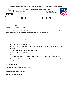**2875 Staunton Turnpike, Parkersburg, WV 26104-7219**

TELEPHONE: 304-485-5494 E-MAIL: [wvssac@wvssac.org](mailto:wvssac@wvssac.org)

WEB SITE: [www.wvssac.org](http://www.wvssac.org/)



# **B U L L E T I N**

| TO:             | <b>All Officials</b>         |
|-----------------|------------------------------|
| FROM:           | <b>WVSSAC</b>                |
| <b>SUBJECT:</b> | <b>Entering Game Reports</b> |

**Below are the instructions and due dates for submitting game reports. Due Dates can be found in your Officials' Packet online. Game Reports will not be accepted if faxed or mailed to the W VSSAC.**

#### **INSTRUCTIONS:**

- 1. Login to the WVSSAC Website: [www.wvssac.org](http://www.wvssac.org/)
- 2. Go to Admin Login (Located in the left-hand corner)
- 3. Type in your Registration Number.
- 4. Type in your Password. Write it down and use it when you login to the SSAC website as an official
- 5. Click on Login
- 6. You are now on the Officials Management Page.
- 7. You need to click on Submit Game Reports.
- 8. Once at the game report form you can start entering your game reports. Remember to update and save for each game you enter. Make sure you select the sport your entering game reportsfor.
- 9. There is not a Submit button, when you update and save that will save your game reports to the file.

#### **GAME REPORT DUE DATES:**

**FOOTBALL - VOLLEYBALL - SOCCER: DECEMBER 1, 2022**

**BASKETBALL - WRESTLING: APRIL 1, 2023**

**BASEBALL - SOFTBALL: JULY 1, 2023**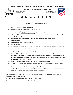**2875 Staunton Turnpike, Parkersburg, WV 26104-7219**

TELEPHONE: 304-485-5494 E-MAIL: [wvssac@wvssac.org](mailto:wvssac@wvssac.org)



FAX NUMBER: 304-428-5431 **WEB SITE: WWW.WVSSac.org** 

# **B U L L E T I N**

#### **HOW TO ENTER SELF NOMINATION FORMS**

- **1. Go toour website and click on Admin Login.**
- **2. At Username enter your registration number IN ALLCAPS.**
- **3. At Password enter your password that you have created.**
- **4. Once you're on the OfficialsManagement Page click on Self Nomination Forms**
- **5. In the upper left-hand corner of the screen check and see if you are on the correct sport. Ifyou are, Click on Load Self Nomination Form.**
- **6. Once you're on the Self Nomination Form page you enter the month, day, and year.**
- **7. Click if it'sboysor girls.**
- **8. Click if its college, varsity, JV, middle/ other.**
- **9. Click your position.**
- 10. Click and select the Home Team. If the team is a non-member school, you need to click in the box that says **Non-Member School and type in the school name.**
- 11. Click on and select the Visitor Team. If the team is a non-member school, you need to click in the box that **saysNon-Member School and type in the school name.**
- **12. Click on Add Game. ThisKey will start a new entry below the one you just entered.**
- 13. When you have entered in all the games you need to qualify for tournament assignment, go to and READ **the Section on How to Submit Application. Youmust check mark allthe boxes. When all boxes are marked the Save Application button will appear.**
- **14. Click on the Save Application button. Thisisthe same as Submit Application.**
- 15. The screen will go blank and you need to click on the back to menu button in the upper left hand **corner.**
- **16. Click on the Load Self Nomination button again and check all the games you haveentered. If everything looks ok you don't need to do anything else just logout. If you need to make any changes or corrections, make your corrections and click save application again.**

**If you have followed the Instructions above correctly you will receive an e-mail confirmation that you're Self** 

**Nomination Form has been received.**

**You don't need to contact this office if you have received an e-mail.** 

**Please remember to update you e-mail address if you have any changes.**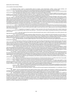#### 127-4-3 Code for Interscholastic Athletics

3.7. *Statement of Policy.* Insofar as unsportsmanlike actions by students, school administrators, officials, coaches, faculty members, and spectators are concerned, the identical items under the Sportsmanship Rule along with the following guides will be referred to by the WVSSAC:

3.7.a. The school whose coach behaves in a manner likely to have adverse influence on the attitudes of students or spectators may be provided with the choice oftaking disciplinary action againstthat coach or having the entire school disciplined by the WVSSAC.

3.7.b. Any student who in protest lays hands or attempts to lay hands upon an official may be declared ineligible by the principal or by the WVSSAC for up to one year. Any student who strikes an opponent, coach, or a spectator during or following an athletic event may be declared ineligible by the principal orthe WVSSAC for a specified period oftime up to one year, depending on the seriousness ofthe act.

3.7.c. Any coach, student, or bench personnel ejected by an official will be suspended for the remainder of the game, match, meet or contest. The coach, student, or bench personnel ejected by an official will also be suspended in additional contest(s): the suspension will be assessed based upon ten (10) percent of the allowed regular season contests or post season progression in a playoff tournament for each sport. Any tenth of a percentage from .1 to .4 will be a suspension equal to the whole number of the percent. Any tenth from .5 to .9 will be an additional contest added to the whole number. The suspension will include the number of indicated contests in that sport and at that level and all other sport contests in the interim at any level. A second ejection will result in the doubling of the suspension assessed for the first ejection. If an individual is ejected for a third time during the same sportseason, the individual will be suspended from participating or coaching for 365 calendar days from the date of ejection. In accordance with rule 127-3-15.3, an individual ejected by an official maynotappealthat ejection,oranysubsequentsuspension thatis a consequence ofthe ejection by an official.

3.7.c.1. Anycoach,playerorbenchpersonnelwhohasbeenejectedshallnotbepermittedtoattendanycontest(s)duringsaid suspension. He/she shall not be affiliated with the team in any capacity. This would include but not be limited to transportation to or from the contest, meeting with the teambefore, during or aftersaid contest. He/she is not permitted to be in sight orsound ofsaid contest venue. Regular practice orteammeetings not affiliated with a contest are permitted.

3.7.c.2. If suspensions are imposed to a student or bench personnel at the end of the sport season and no contest remains, the suspension is carried over to that particular sport until the next school year. In the case of a senior student, the penalty will continue to the next WVSSAC sponsored sport.

3.7.c.3. Any coach suspension that cannot be enforced during the sport season in which the ejection occurs will be enforced at the beginning of the next season of that same sport.

3.7.d. In case of spectators physically molesting an official, administrator, coach, or student, the school may be given one of two options: 1) file charges against the offender (s) or 2) accept discipline from the WVSSAC. Any person found guilty of W.Va. Code §61-2-15(a) Assault, Battery on Athletic Officials, while these individuals are working or as a result of working an athletic contest, shall be banned from all WVSSAC athletic eventsfor a minimumof 365 daysfrom the date of being found guilty. The school filing chargesshall notify the WVSSAC ofthe incident and outcome of any legal action.

3.7.e. The school that does not lend complete cooperation in the host school's effort to promote the spirit of good sportsmanship may be disciplined by the WVSSAC.

3.7.f. Acoachmaybeconsideredascommittingunsportsmanlikeconductiftheymakedegradingremarksaboutofficialsduringor after a game either on the field of play, from the bench, or through any public news media, argues with officials, or goes through motions indicating dislike for a decision, protests the decision and actions of officials pertaining to the game during and after the contest, or detains the official on the field of play following a game to request a ruling or explanation ofsomephase ofthe game. If a coach feels he/shehas a legitimate criticismof a penaltycallorarequestforaruleinterpretation, such criticism or request should be made in the privacy of the coach's office or the official's quarters and should be made in a courteous manner.

3.7.g. Astudent or team attendant shall not leave the bench area, team box area, or their designated off-field area during a game or contest other than during that time permitted by game or contest rules. Acoach shall not leave the bench area, team box area, or the designated off-field area during a game or contest other than during that time permitted by game or contest rules unless a student altercation is taking place and the official requests assistance. Violationofthisruleshallcausethecoach,student,orteamattendanttobeimmediatelyejectedfromthecontest,team penalized according to game or contest rules and that coach, student, or team attendant will not be eligible to participate in the next contest as outlined in§127-4-2.3.

3.8. Procedure. Unsportsmanship action must be reported in detail to the WVSSAC. Acopy of the complaint must also be filed with the principal of the school involved. Each principal involved shall report such information or answers to the report as they deem appropriate. Upon receiptofallreports,the ExecutiveDirectorand/ortheBoardofDirectorsoftheWVSSACshallinvestigateandadjudicatesuchreportsinaccordance withthepowersaffordedin§127-1-8.6 and 8.7 and §127-1-12.2 and 12.3 of the Constitution. Penalties up to and including suspension of member schools may be made in accordance with §127-4.

3.9. The following defines the different types of disciplinary action which may be assessed for violation of any WVSSAC rule by a memberschool, administrator, coach, athlete or contest official:

3.9.a. *Warning.* A warning may be given by the Executive Director or Assistant Executive Director. It is official notice that an inexcusable, unethical, or unsportsmanship action has occurred, is a matter of record, and that such an occurrence must not be repeated.

3.9.b. *Probation.* Probation is a much more severe type of warning and may be expressed two ways: 1) a school, coach, student, or team attendant on probation is told that further violations will lead to a fine or suspension; and/or 2) a school on probation is on conditional WVSSAC membership but may engage in its regular schedule, sanctioned events, and all WVSSAC tournament play, providing a program is filed with the Executive Director of the WVSSAC indicating measures to be taken to alleviate this problem which caused the school to be placed on probation.

3.9.c. *Suspension.* Aschool/coach suspended from the WVSSAC may not meet in interscholastic competition of any kind with a WVSSAC member school or a school that is a member of another state associated with the National Federation of State High School Associations. 3.9.d. *Fine.* Afinemay be levied by the Executive Director.

3.9.e. Each of these sanctions (Warning, Probation, suspension and Fine) may be imposed or levied separately, or in a combination of one or more sanctions.

3.10 *Appeals.* All cases involving disciplinary action against member schools, coaches, students, team attendants, or officials may be protested in accordance with §127-6. However, disciplinary action imposed by an official, including disciplinary action that is a consequence of a decision by an official, such as a suspension for an additional game or games as a consequence of an ejection, is governed by rule 127-3-15.3 and is not subject to appeal.

3.11 Reviewof Ejections. Disciplinary action imposed by a contestofficial, including disciplinary action thatresultsin a suspension for an additional game or games as a consequence of an ejection, is notsubject to appeal pursuant to Rule **§**127-6. However, ifthe individual ejected believes the ejection was improper, he/she may request a review of the ejection by his/her principal. If the principal believesthere is merit in the requested review, the principal shall complete and submit the WVSSAC Ejection Review Form within 24 hours or the next business day of the ejection to the Executive Director of the WVSSAC. If a review is properly requested, the WVSSAC will review the officials' special report, the WVSSAC Ejection Review Form, and such other information asthe WVSSAC deems appropriate. Upon review, the WVSSAC Executive Director or the designated Assistant Director will either sustain the ejection and any consequent suspension(s), or will determine the ejection was improper and void any consequent suspension(s). A decision by the WVSSAC upon reviewing an ejection is not subject to appeal pursuant to Rule §127-6.